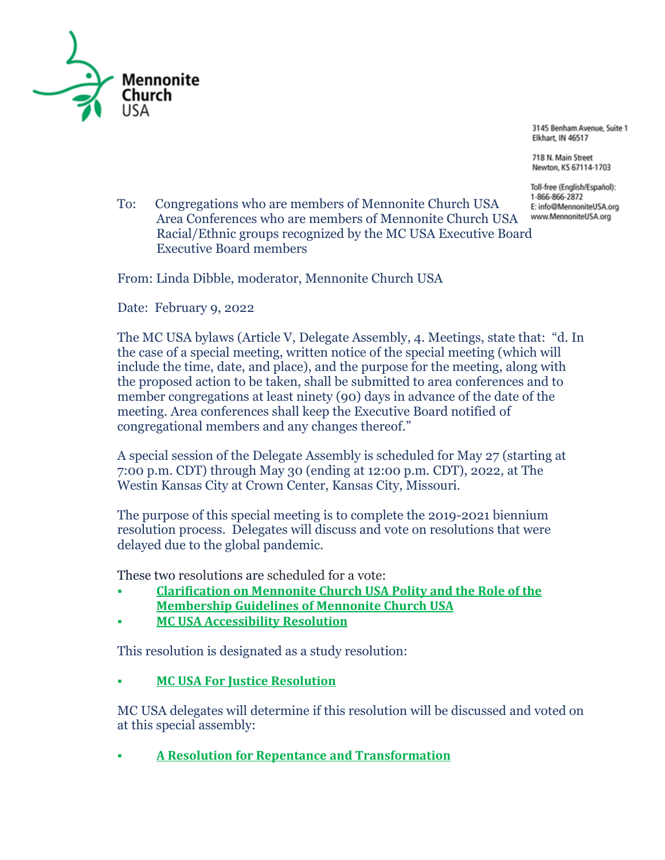

3145 Benham Avenue, Suite 1 Elkhart, IN 46517

718 N. Main Street Newton, KS 67114-1703

Toll-free (English/Español): 1-866-866-2872 E: info@MennoniteUSA.org www.MennoniteUSA.org

To: Congregations who are members of Mennonite Church USA Area Conferences who are members of Mennonite Church USA Racial/Ethnic groups recognized by the MC USA Executive Board Executive Board members

From: Linda Dibble, moderator, Mennonite Church USA

Date: February 9, 2022

The MC USA bylaws (Article V, Delegate Assembly, 4. Meetings, state that: "d. In the case of a special meeting, written notice of the special meeting (which will include the time, date, and place), and the purpose for the meeting, along with the proposed action to be taken, shall be submitted to area conferences and to member congregations at least ninety (90) days in advance of the date of the meeting. Area conferences shall keep the Executive Board notified of congregational members and any changes thereof."

A special session of the Delegate Assembly is scheduled for May 27 (starting at 7:00 p.m. CDT) through May 30 (ending at 12:00 p.m. CDT), 2022, at The Westin Kansas City at Crown Center, Kansas City, Missouri.

The purpose of this special meeting is to complete the 2019-2021 biennium resolution process. Delegates will discuss and vote on resolutions that were delayed due to the global pandemic.

These two resolutions are scheduled for a vote:

- **[Clarification](https://www.mennoniteusa.org/wp-content/uploads/2021/04/EB-Resolution-Membership-Guidelines-2021-Approved-by-EB-April-2021.pdf) on Mennonite Church USA Polity and the Role of the [Membership](https://www.mennoniteusa.org/wp-content/uploads/2021/04/EB-Resolution-Membership-Guidelines-2021-Approved-by-EB-April-2021.pdf) Guidelines of Mennonite Church USA**
- **MC USA [Accessibility](https://www.mennoniteusa.org/wp-content/uploads/2021/07/MC-USA-Accessibility-Resolution-FINAL-7-20-21.pdf) Resolution**

This resolution is designated as a study resolution:

▪ **MC USA For Justice [Resolution](https://www.mennoniteusa.org/wp-content/uploads/2021/07/MC-USA-For-Justice-Resolution-FINAL.pdf)**

MC USA delegates will determine if this resolution will be discussed and voted on at this special assembly:

▪ **A Resolution for Repentance and [Transformation](https://www.mennoniteusa.org/wp-content/uploads/2021/10/A-Resolution-for-Repentance-and-Transformation-Rev-2.0.pdf)**